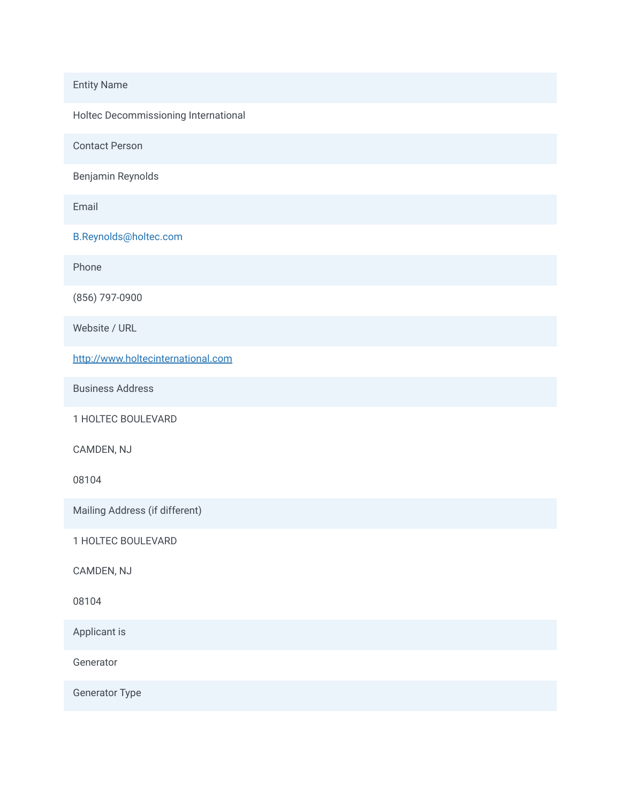## Entity Name

Holtec Decommissioning International

Contact Person

Benjamin Reynolds

Email

B.Reynolds@holtec.com

Phone

(856) 797-0900

Website / URL

[http://www.holtecinternational.com](http://www.holtecinternational.com/)

Business Address

1 HOLTEC BOULEVARD

CAMDEN, NJ

08104

Mailing Address (if different)

1 HOLTEC BOULEVARD

CAMDEN, NJ

08104

Applicant is

Generator

Generator Type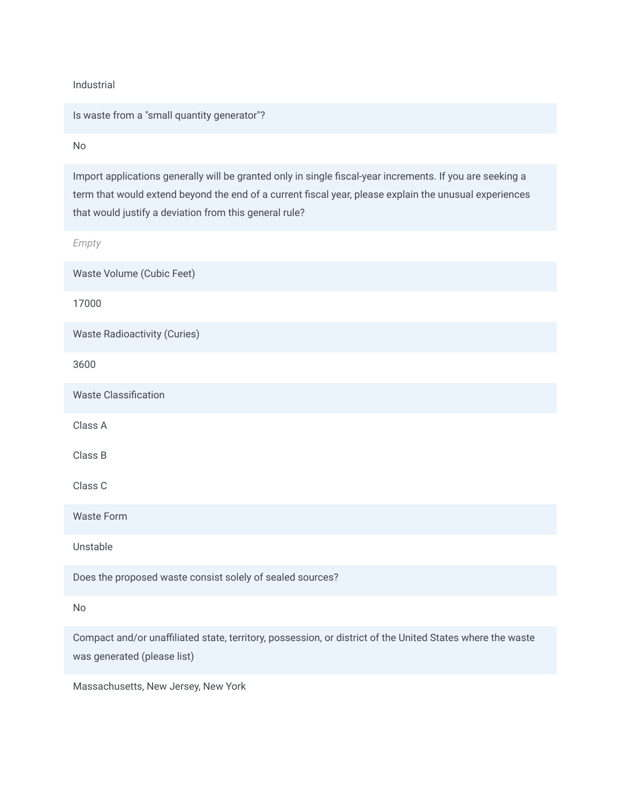Industrial

Is waste from a "small quantity generator"?

No

Import applications generally will be granted only in single fiscal-year increments. If you are seeking a term that would extend beyond the end of a current fiscal year, please explain the unusual experiences that would justify a deviation from this general rule?

*Empty*

Waste Volume (Cubic Feet)

17000

Waste Radioactivity (Curies)

3600

Waste Classification

Class A

Class B

Class C

Waste Form

Unstable

Does the proposed waste consist solely of sealed sources?

No

Compact and/or unaffiliated state, territory, possession, or district of the United States where the waste was generated (please list)

Massachusetts, New Jersey, New York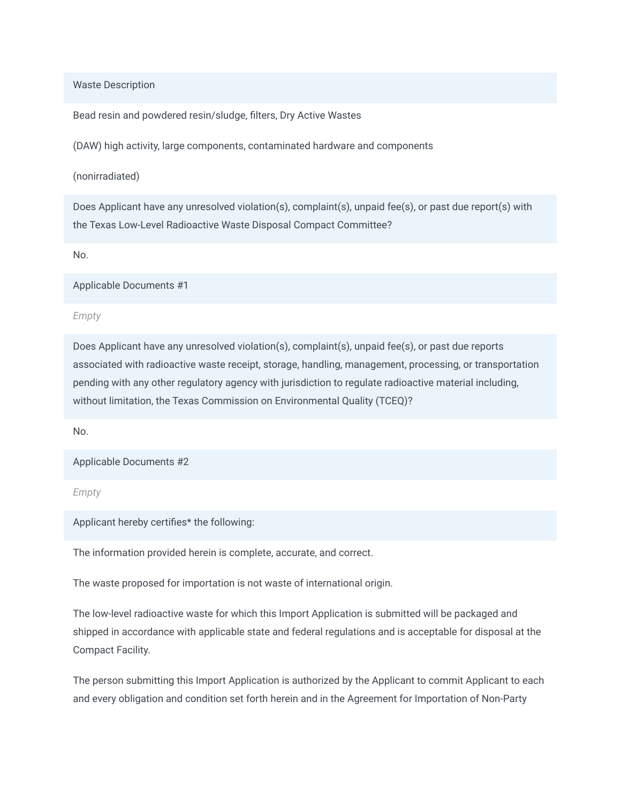Waste Description

Bead resin and powdered resin/sludge, filters, Dry Active Wastes

(DAW) high activity, large components, contaminated hardware and components

(nonirradiated)

Does Applicant have any unresolved violation(s), complaint(s), unpaid fee(s), or past due report(s) with the Texas Low-Level Radioactive Waste Disposal Compact Committee?

No.

Applicable Documents #1

*Empty*

Does Applicant have any unresolved violation(s), complaint(s), unpaid fee(s), or past due reports associated with radioactive waste receipt, storage, handling, management, processing, or transportation pending with any other regulatory agency with jurisdiction to regulate radioactive material including, without limitation, the Texas Commission on Environmental Quality (TCEQ)?

No.

Applicable Documents #2

*Empty*

Applicant hereby certifies\* the following:

The information provided herein is complete, accurate, and correct.

The waste proposed for importation is not waste of international origin.

The low-level radioactive waste for which this Import Application is submitted will be packaged and shipped in accordance with applicable state and federal regulations and is acceptable for disposal at the Compact Facility.

The person submitting this Import Application is authorized by the Applicant to commit Applicant to each and every obligation and condition set forth herein and in the Agreement for Importation of Non-Party